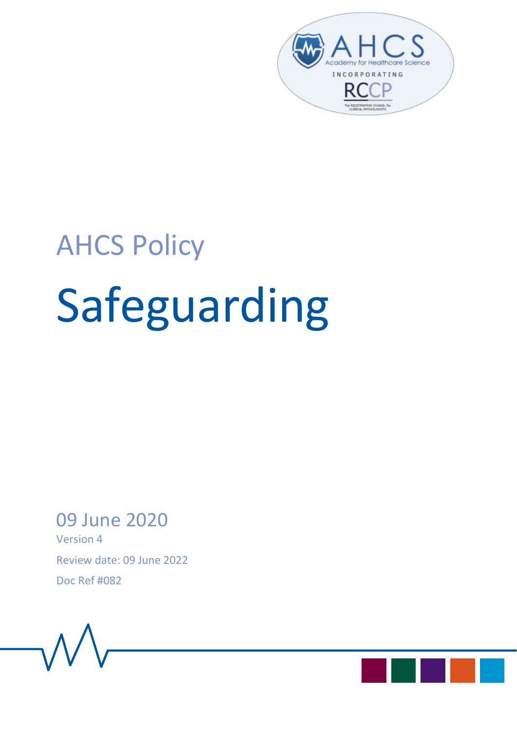

# AHCS Policy Safeguarding

## 09 June 2020

Version 4 Review date: 09 June 2022 Doc Ref #082



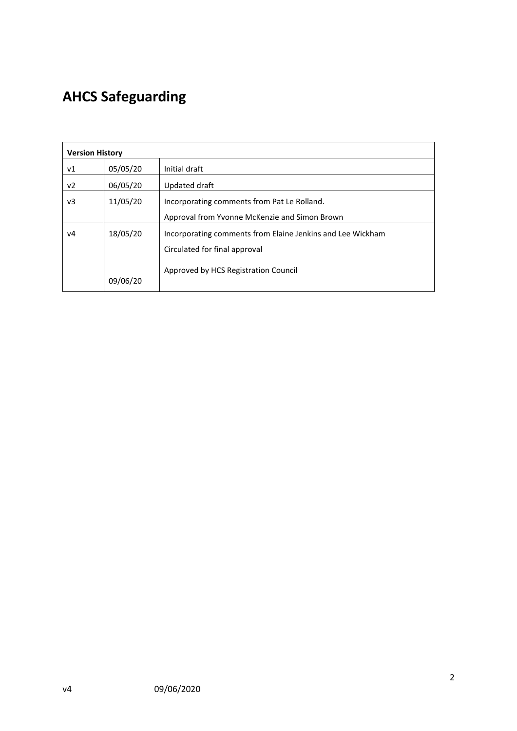## **AHCS Safeguarding**

| <b>Version History</b> |          |                                                            |  |
|------------------------|----------|------------------------------------------------------------|--|
| ν1                     | 05/05/20 | Initial draft                                              |  |
| v <sub>2</sub>         | 06/05/20 | Updated draft                                              |  |
| v3                     | 11/05/20 | Incorporating comments from Pat Le Rolland.                |  |
|                        |          | Approval from Yvonne McKenzie and Simon Brown              |  |
| v4                     | 18/05/20 | Incorporating comments from Elaine Jenkins and Lee Wickham |  |
|                        |          | Circulated for final approval                              |  |
|                        | 09/06/20 | Approved by HCS Registration Council                       |  |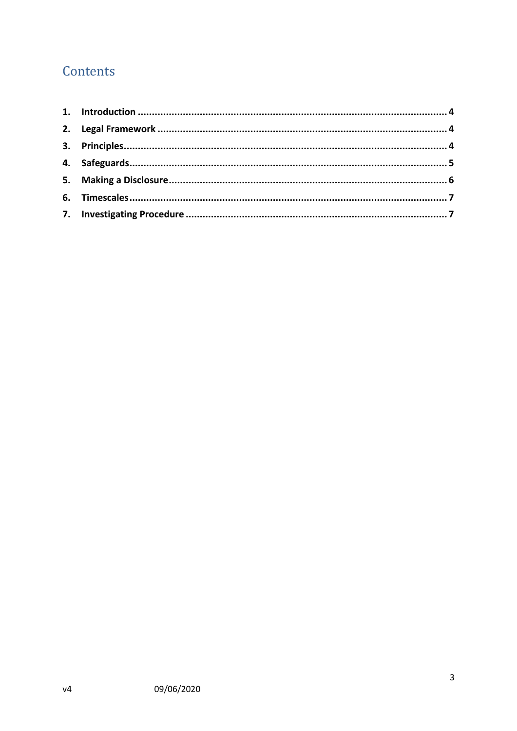### Contents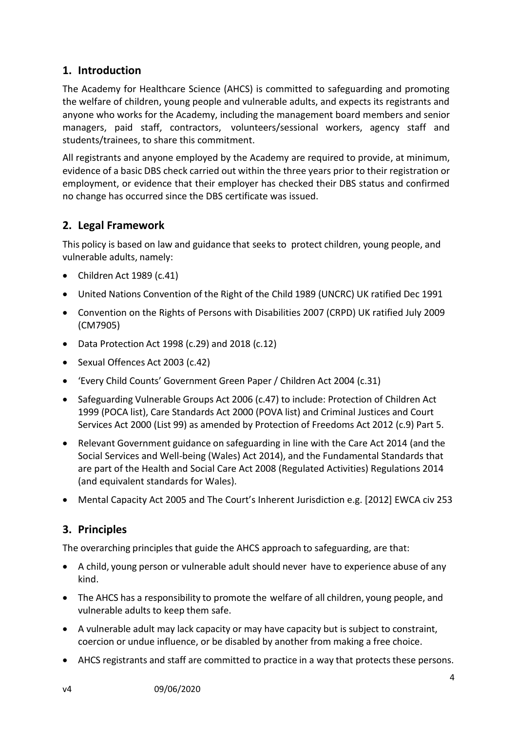#### <span id="page-3-0"></span>**1. Introduction**

The Academy for Healthcare Science (AHCS) is committed to safeguarding and promoting the welfare of children, young people and vulnerable adults, and expects its registrants and anyone who works for the Academy, including the management board members and senior managers, paid staff, contractors, volunteers/sessional workers, agency staff and students/trainees, to share this commitment.

All registrants and anyone employed by the Academy are required to provide, at minimum, evidence of a basic DBS check carried out within the three years prior to their registration or employment, or evidence that their employer has checked their DBS status and confirmed no change has occurred since the DBS certificate was issued.

#### <span id="page-3-1"></span>**2. Legal Framework**

This policy is based on law and guidance that seeks to protect children, young people, and vulnerable adults, namely:

- Children Act 1989 (c.41)
- United Nations Convention of the Right of the Child 1989 (UNCRC) UK ratified Dec 1991
- Convention on the Rights of Persons with Disabilities 2007 (CRPD) UK ratified July 2009 (CM7905)
- Data Protection Act 1998 (c.29) and 2018 (c.12)
- Sexual Offences Act 2003 (c.42)
- 'Every Child Counts' Government Green Paper / Children Act 2004 (c.31)
- Safeguarding Vulnerable Groups Act 2006 (c.47) to include: Protection of Children Act 1999 (POCA list), Care Standards Act 2000 (POVA list) and Criminal Justices and Court Services Act 2000 (List 99) as amended by Protection of Freedoms Act 2012 (c.9) Part 5.
- Relevant Government guidance on safeguarding in line with the Care Act 2014 (and the Social Services and Well-being (Wales) Act 2014), and the Fundamental Standards that are part of the Health and Social Care Act 2008 (Regulated Activities) Regulations 2014 (and equivalent standards for Wales).
- Mental Capacity Act 2005 and The Court's Inherent Jurisdiction e.g. [2012] EWCA civ 253

#### <span id="page-3-2"></span>**3. Principles**

The overarching principles that guide the AHCS approach to safeguarding, are that:

- A child, young person or vulnerable adult should never have to experience abuse of any kind.
- The AHCS has a responsibility to promote the welfare of all children, young people, and vulnerable adults to keep them safe.
- A vulnerable adult may lack capacity or may have capacity but is subject to constraint, coercion or undue influence, or be disabled by another from making a free choice.
- AHCS registrants and staff are committed to practice in a way that protects these persons.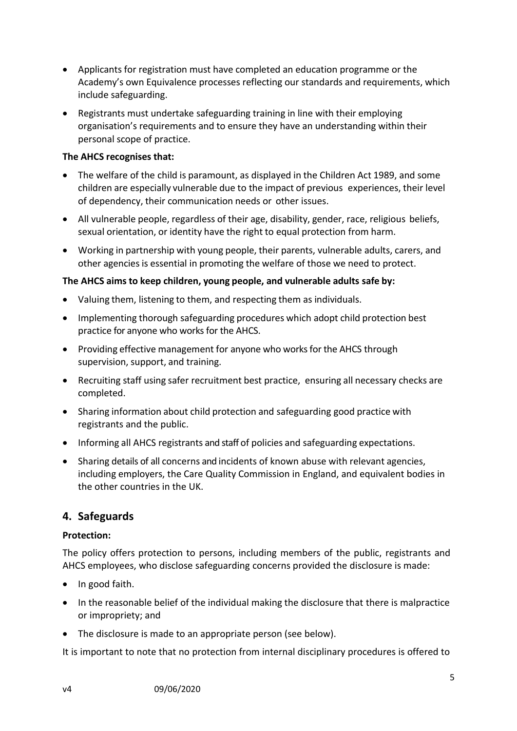- Applicants for registration must have completed an education programme or the Academy's own Equivalence processes reflecting our standards and requirements, which include safeguarding.
- Registrants must undertake safeguarding training in line with their employing organisation's requirements and to ensure they have an understanding within their personal scope of practice.

#### **The AHCS recognises that:**

- The welfare of the child is paramount, as displayed in the Children Act 1989, and some children are especially vulnerable due to the impact of previous experiences, their level of dependency, their communication needs or other issues.
- All vulnerable people, regardless of their age, disability, gender, race, religious beliefs, sexual orientation, or identity have the right to equal protection from harm.
- Working in partnership with young people, their parents, vulnerable adults, carers, and other agenciesis essential in promoting the welfare of those we need to protect.

#### **The AHCS aims to keep children, young people, and vulnerable adults safe by:**

- Valuing them, listening to them, and respecting them as individuals.
- Implementing thorough safeguarding procedures which adopt child protection best practice for anyone who works for the AHCS.
- Providing effective management for anyone who works for the AHCS through supervision, support, and training.
- Recruiting staff using safer recruitment best practice, ensuring all necessary checks are completed.
- Sharing information about child protection and safeguarding good practice with registrants and the public.
- Informing all AHCS registrants and staff of policies and safeguarding expectations.
- Sharing details of all concerns and incidents of known abuse with relevant agencies, including employers, the Care Quality Commission in England, and equivalent bodies in the other countries in the UK.

#### <span id="page-4-0"></span>**4. Safeguards**

#### **Protection:**

The policy offers protection to persons, including members of the public, registrants and AHCS employees, who disclose safeguarding concerns provided the disclosure is made:

- In good faith.
- In the reasonable belief of the individual making the disclosure that there is malpractice or impropriety; and
- The disclosure is made to an appropriate person (see below).

It is important to note that no protection from internal disciplinary procedures is offered to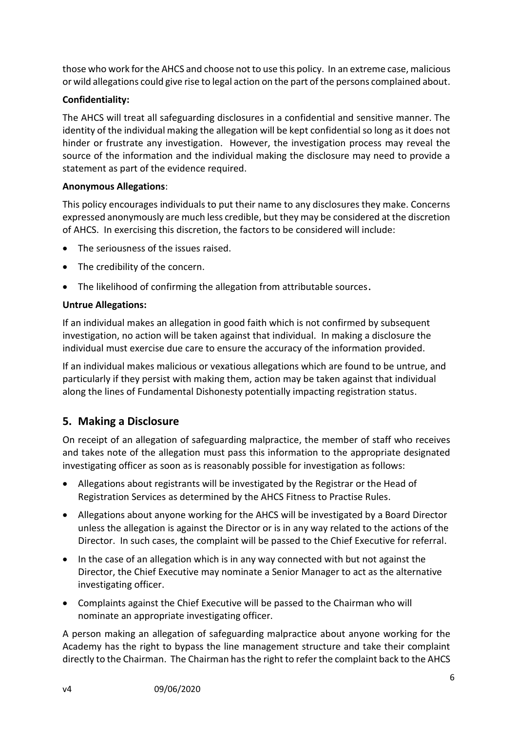those who work for the AHCS and choose not to use this policy. In an extreme case, malicious or wild allegations could give rise to legal action on the part of the persons complained about.

#### **Confidentiality:**

The AHCS will treat all safeguarding disclosures in a confidential and sensitive manner. The identity of the individual making the allegation will be kept confidential so long as it does not hinder or frustrate any investigation. However, the investigation process may reveal the source of the information and the individual making the disclosure may need to provide a statement as part of the evidence required.

#### **Anonymous Allegations**:

This policy encourages individuals to put their name to any disclosures they make. Concerns expressed anonymously are much less credible, but they may be considered at the discretion of AHCS. In exercising this discretion, the factors to be considered will include:

- The seriousness of the issues raised.
- The credibility of the concern.
- The likelihood of confirming the allegation from attributable sources.

#### **Untrue Allegations:**

If an individual makes an allegation in good faith which is not confirmed by subsequent investigation, no action will be taken against that individual. In making a disclosure the individual must exercise due care to ensure the accuracy of the information provided.

If an individual makes malicious or vexatious allegations which are found to be untrue, and particularly if they persist with making them, action may be taken against that individual along the lines of Fundamental Dishonesty potentially impacting registration status.

#### <span id="page-5-0"></span>**5. Making a Disclosure**

On receipt of an allegation of safeguarding malpractice, the member of staff who receives and takes note of the allegation must pass this information to the appropriate designated investigating officer as soon as is reasonably possible for investigation as follows:

- Allegations about registrants will be investigated by the Registrar or the Head of Registration Services as determined by the AHCS Fitness to Practise Rules.
- Allegations about anyone working for the AHCS will be investigated by a Board Director unless the allegation is against the Director or is in any way related to the actions of the Director. In such cases, the complaint will be passed to the Chief Executive for referral.
- In the case of an allegation which is in any way connected with but not against the Director, the Chief Executive may nominate a Senior Manager to act as the alternative investigating officer.
- Complaints against the Chief Executive will be passed to the Chairman who will nominate an appropriate investigating officer.

A person making an allegation of safeguarding malpractice about anyone working for the Academy has the right to bypass the line management structure and take their complaint directly to the Chairman. The Chairman has the right to refer the complaint back to the AHCS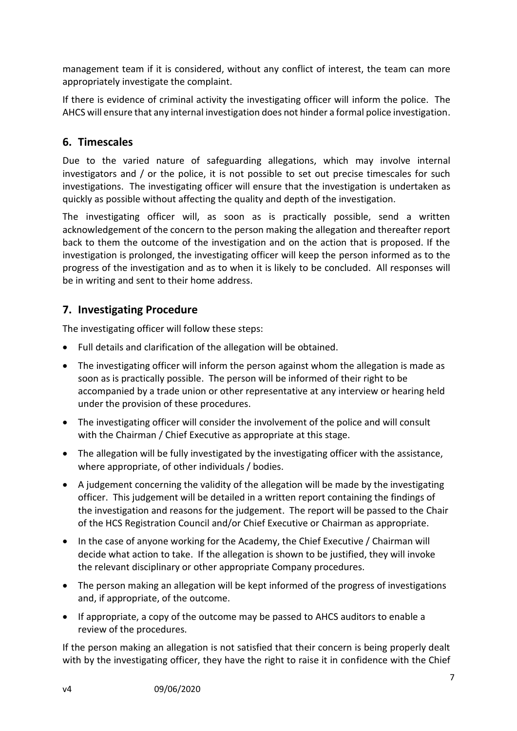management team if it is considered, without any conflict of interest, the team can more appropriately investigate the complaint.

If there is evidence of criminal activity the investigating officer will inform the police. The AHCS will ensure that any internal investigation does not hinder a formal police investigation.

#### <span id="page-6-0"></span>**6. Timescales**

Due to the varied nature of safeguarding allegations, which may involve internal investigators and / or the police, it is not possible to set out precise timescales for such investigations. The investigating officer will ensure that the investigation is undertaken as quickly as possible without affecting the quality and depth of the investigation.

The investigating officer will, as soon as is practically possible, send a written acknowledgement of the concern to the person making the allegation and thereafter report back to them the outcome of the investigation and on the action that is proposed. If the investigation is prolonged, the investigating officer will keep the person informed as to the progress of the investigation and as to when it is likely to be concluded. All responses will be in writing and sent to their home address.

#### <span id="page-6-1"></span>**7. Investigating Procedure**

The investigating officer will follow these steps:

- Full details and clarification of the allegation will be obtained.
- The investigating officer will inform the person against whom the allegation is made as soon as is practically possible. The person will be informed of their right to be accompanied by a trade union or other representative at any interview or hearing held under the provision of these procedures.
- The investigating officer will consider the involvement of the police and will consult with the Chairman / Chief Executive as appropriate at this stage.
- The allegation will be fully investigated by the investigating officer with the assistance, where appropriate, of other individuals / bodies.
- A judgement concerning the validity of the allegation will be made by the investigating officer. This judgement will be detailed in a written report containing the findings of the investigation and reasons for the judgement. The report will be passed to the Chair of the HCS Registration Council and/or Chief Executive or Chairman as appropriate.
- In the case of anyone working for the Academy, the Chief Executive / Chairman will decide what action to take. If the allegation is shown to be justified, they will invoke the relevant disciplinary or other appropriate Company procedures.
- The person making an allegation will be kept informed of the progress of investigations and, if appropriate, of the outcome.
- If appropriate, a copy of the outcome may be passed to AHCS auditors to enable a review of the procedures.

If the person making an allegation is not satisfied that their concern is being properly dealt with by the investigating officer, they have the right to raise it in confidence with the Chief